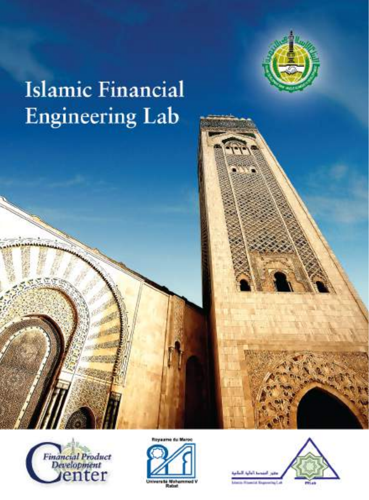

# **Islamic Financial Engineering Lab**





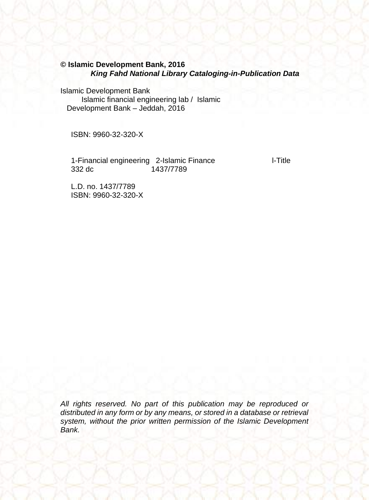#### **© Islamic Development Bank, 2016 King Fahd National Library Cataloging-in-Publication Data**

Islamic Development Bank Islamic financial engineering lab / Islamic Development Bank – Jeddah, 2016

ISBN: 9960-32-320-X

1-Financial engineering 2-Islamic Finance l-Title 332 dc 1437/7789

L.D. no. 1437/7789 ISBN: 9960-32-320-X

All rights reserved. No part of this publication may be reproduced or distributed in any form or by any means, or stored in a database or retrieval system, without the prior written permission of the Islamic Development Bank.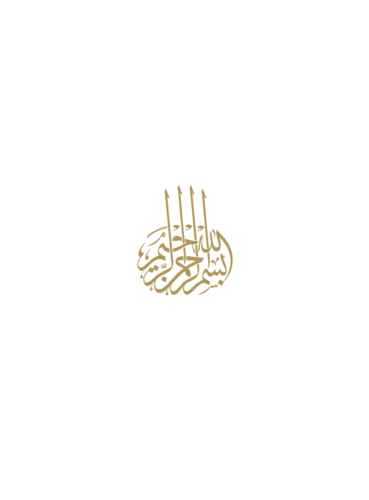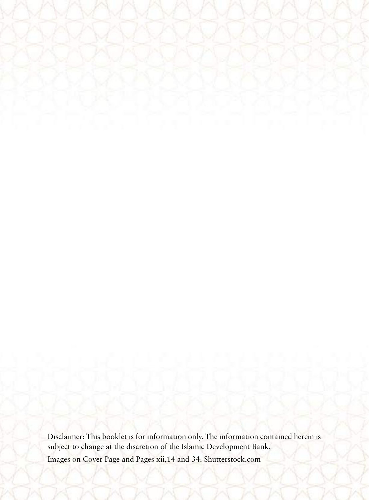Disclaimer: This booklet is for information only. The information contained herein is subject to change at the discretion of the Islamic Development Bank. Images on Cover Page and Pages xii,14 and 34: Shutterstock.com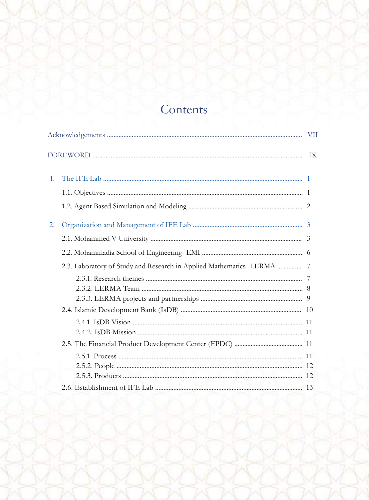# Contents

| $\mathfrak{t}$ . |  |
|------------------|--|
|                  |  |
|                  |  |
| 2.               |  |
|                  |  |
|                  |  |
|                  |  |
|                  |  |
|                  |  |
|                  |  |
|                  |  |
|                  |  |
|                  |  |
|                  |  |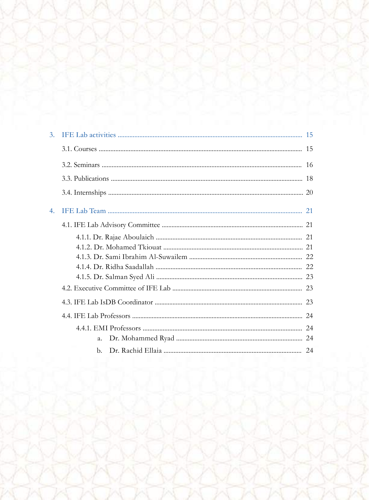| 4. |                                      |  |
|----|--------------------------------------|--|
|    |                                      |  |
|    |                                      |  |
|    |                                      |  |
|    |                                      |  |
|    |                                      |  |
|    |                                      |  |
|    |                                      |  |
|    |                                      |  |
|    |                                      |  |
|    |                                      |  |
|    | $a_{\cdot}$                          |  |
|    | h Dr Rachid Ellaia<br>$\frac{1}{24}$ |  |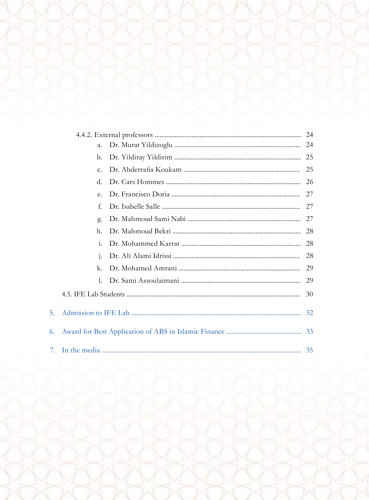| $\overline{a}$ . |    |
|------------------|----|
| b.               |    |
| $C_{\tau}$       |    |
| d.               |    |
| e.               |    |
| $f_{\rm c}$      |    |
| g.               |    |
| h.               |    |
| i.               |    |
| i.               | 28 |
| k.               | 29 |
| $\mathbf{1}$     |    |
|                  | 30 |
|                  |    |
|                  |    |
| In the media     | 35 |

 $5.$ 

6.

7.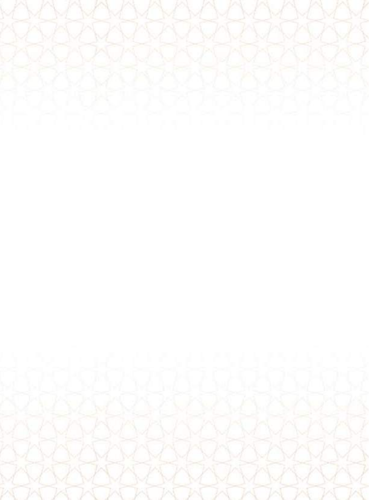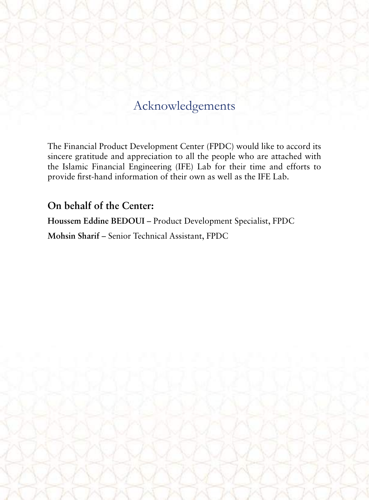# Acknowledgements

<span id="page-8-0"></span>The Financial Product Development Center (FPDC) would like to accord its sincere gratitude and appreciation to all the people who are attached with the Islamic Financial Engineering (IFE) Lab for their time and efforts to provide first-hand information of their own as well as the IFE Lab.

# **On behalf of the Center:**

**Houssem Eddine BEDOUI** – Product Development Specialist, FPDC

**Mohsin Sharif** – Senior Technical Assistant, FPDC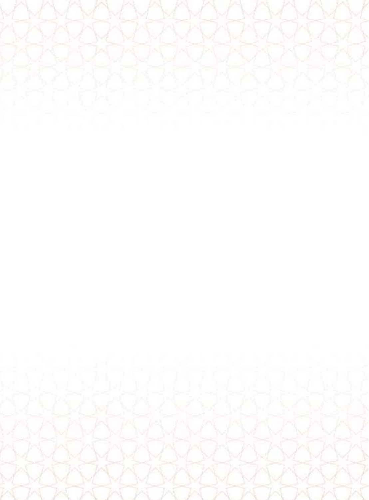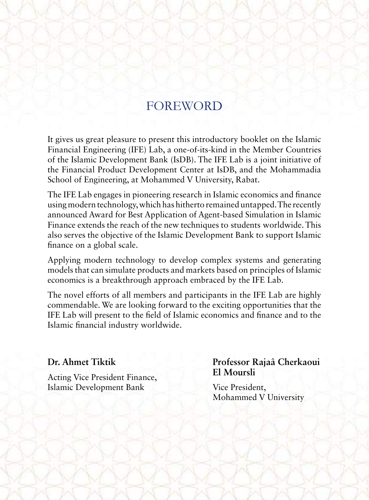# **FOREWORD**

<span id="page-10-0"></span>It gives us great pleasure to present this introductory booklet on the Islamic Financial Engineering (IFE) Lab, a one-of-its-kind in the Member Countries of the Islamic Development Bank (IsDB). The IFE Lab is a joint initiative of the Financial Product Development Center at IsDB, and the Mohammadia School of Engineering, at Mohammed V University, Rabat.

The IFE Lab engages in pioneering research in Islamic economics and finance using modern technology, which has hitherto remained untapped. The recently announced Award for Best Application of Agent-based Simulation in Islamic Finance extends the reach of the new techniques to students worldwide. This also serves the objective of the Islamic Development Bank to support Islamic finance on a global scale.

Applying modern technology to develop complex systems and generating models that can simulate products and markets based on principles of Islamic economics is a breakthrough approach embraced by the IFE Lab.

The novel efforts of all members and participants in the IFE Lab are highly commendable. We are looking forward to the exciting opportunities that the IFE Lab will present to the field of Islamic economics and finance and to the Islamic financial industry worldwide.

#### **Dr. Ahmet Tiktik**

Acting Vice President Finance, Islamic Development Bank

#### **Professor Rajaâ Cherkaoui El Moursli**

Vice President, Mohammed V University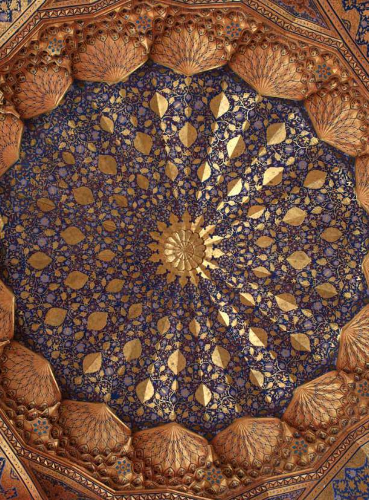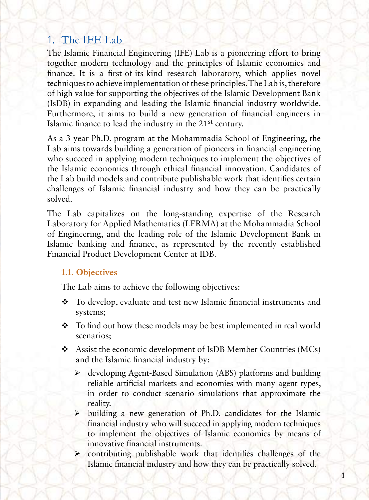# <span id="page-12-0"></span>1. The IFE Lab

The Islamic Financial Engineering (IFE) Lab is a pioneering effort to bring together modern technology and the principles of Islamic economics and finance. It is a first-of-its-kind research laboratory, which applies novel techniques to achieve implementation of these principles. The Lab is, therefore of high value for supporting the objectives of the Islamic Development Bank (IsDB) in expanding and leading the Islamic financial industry worldwide. Furthermore, it aims to build a new generation of financial engineers in Islamic finance to lead the industry in the 21st century.

As a 3-year Ph.D. program at the Mohammadia School of Engineering, the Lab aims towards building a generation of pioneers in financial engineering who succeed in applying modern techniques to implement the objectives of the Islamic economics through ethical financial innovation. Candidates of the Lab build models and contribute publishable work that identifies certain challenges of Islamic financial industry and how they can be practically solved.

The Lab capitalizes on the long-standing expertise of the Research Laboratory for Applied Mathematics (LERMA) at the Mohammadia School of Engineering, and the leading role of the Islamic Development Bank in Islamic banking and finance, as represented by the recently established Financial Product Development Center at IDB.

#### **1.1. Objectives**

The Lab aims to achieve the following objectives:

- \* To develop, evaluate and test new Islamic financial instruments and systems;
- $\cdot$  To find out how these models may be best implemented in real world scenarios;
- Assist the economic development of IsDB Member Countries (MCs) and the Islamic financial industry by:
	- ¾ developing Agent-Based Simulation (ABS) platforms and building reliable artificial markets and economies with many agent types, in order to conduct scenario simulations that approximate the reality.
	- $\triangleright$  building a new generation of Ph.D. candidates for the Islamic financial industry who will succeed in applying modern techniques to implement the objectives of Islamic economics by means of innovative financial instruments.
	- $\triangleright$  contributing publishable work that identifies challenges of the Islamic financial industry and how they can be practically solved.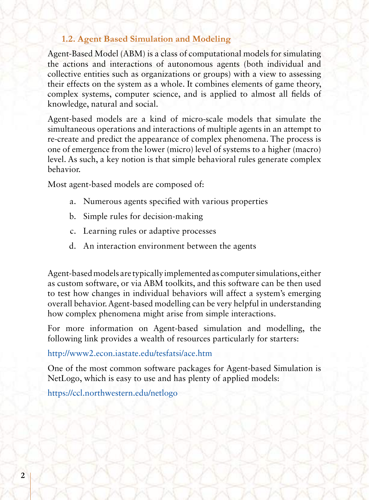#### **1.2. Agent Based Simulation and Modeling**

<span id="page-13-0"></span>Agent-Based Model (ABM) is a class of computational models for simulating the actions and interactions of autonomous agents (both individual and collective entities such as organizations or groups) with a view to assessing their effects on the system as a whole. It combines elements of game theory, complex systems, computer science, and is applied to almost all fields of knowledge, natural and social.

Agent-based models are a kind of micro-scale models that simulate the simultaneous operations and interactions of multiple agents in an attempt to re-create and predict the appearance of complex phenomena. The process is one of emergence from the lower (micro) level of systems to a higher (macro) level. As such, a key notion is that simple behavioral rules generate complex behavior.

Most agent-based models are composed of:

- a. Numerous agents specified with various properties
- b. Simple rules for decision-making
- c. Learning rules or adaptive processes
- d. An interaction environment between the agents

Agent-based models are typically implemented as computer simulations, either as custom software, or via ABM toolkits, and this software can be then used to test how changes in individual behaviors will affect a system's emerging overall behavior. Agent-based modelling can be very helpful in understanding how complex phenomena might arise from simple interactions.

For more information on Agent-based simulation and modelling, the following link provides a wealth of resources particularly for starters:

http://www2.econ.iastate.edu/tesfatsi/ace.htm

One of the most common software packages for Agent-based Simulation is NetLogo, which is easy to use and has plenty of applied models:

https://ccl.northwestern.edu/netlogo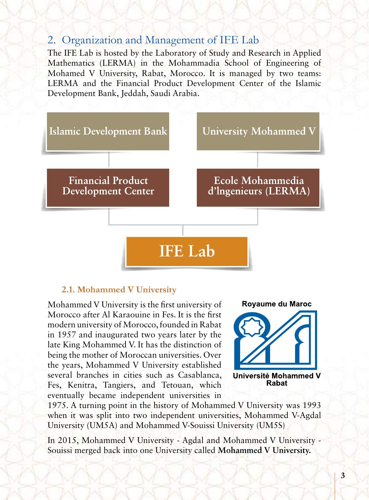# <span id="page-14-0"></span>2. Organization and Management of IFE Lab

The IFE Lab is hosted by the Laboratory of Study and Research in Applied Mathematics (LERMA) in the Mohammadia School of Engineering of Mohamed V University, Rabat, Morocco. It is managed by two teams: LERMA and the Financial Product Development Center of the Islamic Development Bank, Jeddah, Saudi Arabia.



#### **2.1. Mohammed V University**

Mohammed V University is the first university of Morocco after Al Karaouine in Fes. It is the first modern university of Morocco, founded in Rabat in 1957 and inaugurated two years later by the late King Mohammed V. It has the distinction of being the mother of Moroccan universities. Over the years, Mohammed V University established several branches in cities such as Casablanca, Fes, Kenitra, Tangiers, and Tetouan, which eventually became independent universities in



1975. A turning point in the history of Mohammed V University was 1993 when it was split into two independent universities, Mohammed V-Agdal University (UM5A) and Mohammed V-Souissi University (UM5S)

In 2015, Mohammed V University - Agdal and Mohammed V University - Souissi merged back into one University called **Mohammed V University.**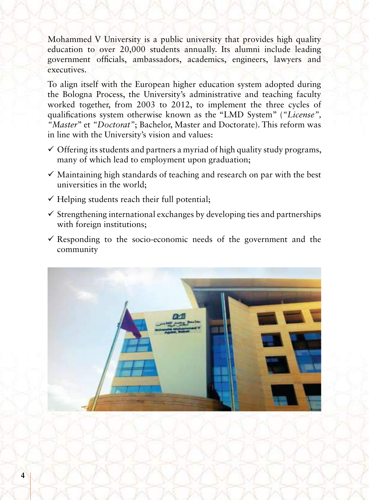Mohammed V University is a public university that provides high quality education to over 20,000 students annually. Its alumni include leading government officials, ambassadors, academics, engineers, lawyers and executives.

To align itself with the European higher education system adopted during the Bologna Process, the University's administrative and teaching faculty worked together, from 2003 to 2012, to implement the three cycles of qualifications system otherwise known as the "LMD System" (*"License", "Master*" et *"Doctorat"*; Bachelor, Master and Doctorate). This reform was in line with the University's vision and values:

- $\checkmark$  Offering its students and partners a myriad of high quality study programs, many of which lead to employment upon graduation;
- $\checkmark$  Maintaining high standards of teaching and research on par with the best universities in the world;
- $\checkmark$  Helping students reach their full potential;
- $\checkmark$  Strengthening international exchanges by developing ties and partnerships with foreign institutions;
- $\checkmark$  Responding to the socio-economic needs of the government and the community

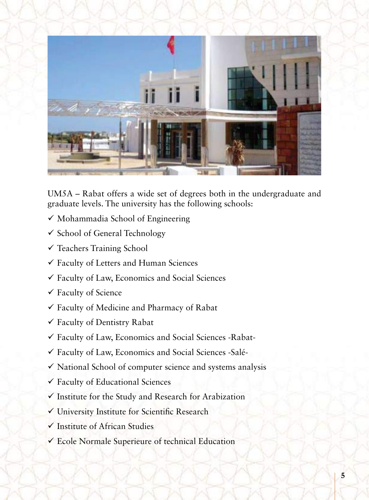

UM5A – Rabat offers a wide set of degrees both in the undergraduate and graduate levels. The university has the following schools:

- $\checkmark$  Mohammadia School of Engineering
- $\checkmark$  School of General Technology
- $\checkmark$  Teachers Training School
- $\checkmark$  Faculty of Letters and Human Sciences
- $\checkmark$  Faculty of Law, Economics and Social Sciences
- $\checkmark$  Faculty of Science
- $\checkmark$  Faculty of Medicine and Pharmacy of Rabat
- $\checkmark$  Faculty of Dentistry Rabat
- $\checkmark$  Faculty of Law, Economics and Social Sciences -Rabat-
- $\checkmark$  Faculty of Law, Economics and Social Sciences -Salé-
- $\checkmark$  National School of computer science and systems analysis
- $\checkmark$  Faculty of Educational Sciences
- $\checkmark$  Institute for the Study and Research for Arabization
- $\checkmark$  University Institute for Scientific Research
- $\checkmark$  Institute of African Studies
- $\checkmark$  Ecole Normale Superieure of technical Education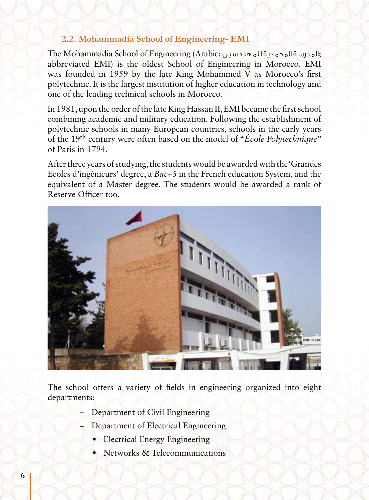#### **2.2. Mohammadia School of Engineering- EMI**

<span id="page-17-0"></span>The Mohammadia School of Engineering (Arabic: للمهندسين المحمدية المدرسة ; abbreviated EMI) is the oldest School of Engineering in Morocco. EMI was founded in 1959 by the late King Mohammed V as Morocco's first polytechnic. It is the largest institution of higher education in technology and one of the leading technical schools in Morocco.

In 1981, upon the order of the late King Hassan II, EMI became the first school combining academic and military education. Following the establishment of polytechnic schools in many European countries, schools in the early years of the 19th century were often based on the model of "*École Polytechnique*" of Paris in 1794.

After three years of studying, the students would be awarded with the 'Grandes Ecoles d'ingénieurs' degree, a *Bac*+5 in the French education System, and the equivalent of a Master degree. The students would be awarded a rank of Reserve Officer too.



The school offers a variety of fields in engineering organized into eight departments:

- **−** Department of Civil Engineering
- **−** Department of Electrical Engineering
	- Electrical Energy Engineering
	- Networks & Telecommunications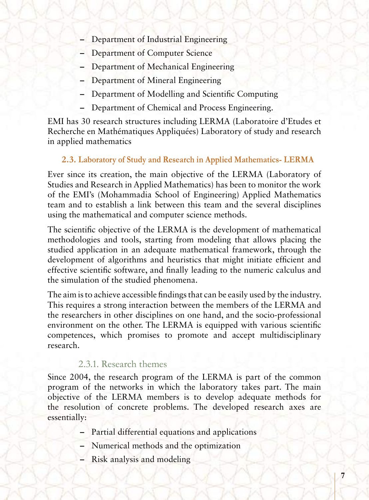- <span id="page-18-0"></span>**−** Department of Industrial Engineering
- **−** Department of Computer Science
- **−** Department of Mechanical Engineering
- **−** Department of Mineral Engineering
- **−** Department of Modelling and Scientific Computing
- **−** Department of Chemical and Process Engineering.

EMI has 30 research structures including LERMA (Laboratoire d'Etudes et Recherche en Mathématiques Appliquées) Laboratory of study and research in applied mathematics

#### **2.3. Laboratory of Study and Research in Applied Mathematics- LERMA**

Ever since its creation, the main objective of the LERMA (Laboratory of Studies and Research in Applied Mathematics) has been to monitor the work of the EMI's (Mohammadia School of Engineering) Applied Mathematics team and to establish a link between this team and the several disciplines using the mathematical and computer science methods.

The scientific objective of the LERMA is the development of mathematical methodologies and tools, starting from modeling that allows placing the studied application in an adequate mathematical framework, through the development of algorithms and heuristics that might initiate efficient and effective scientific software, and finally leading to the numeric calculus and the simulation of the studied phenomena.

The aim is to achieve accessible findings that can be easily used by the industry. This requires a strong interaction between the members of the LERMA and the researchers in other disciplines on one hand, and the socio-professional environment on the other. The LERMA is equipped with various scientific competences, which promises to promote and accept multidisciplinary research.

#### 2.3.1. Research themes

Since 2004, the research program of the LERMA is part of the common program of the networks in which the laboratory takes part. The main objective of the LERMA members is to develop adequate methods for the resolution of concrete problems. The developed research axes are essentially:

- **−** Partial differential equations and applications
- **−** Numerical methods and the optimization
- **−** Risk analysis and modeling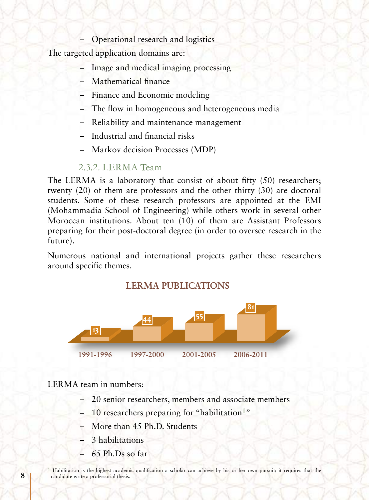**−** Operational research and logistics

<span id="page-19-0"></span>The targeted application domains are:

- **−** Image and medical imaging processing
- **−** Mathematical finance
- **−** Finance and Economic modeling
- **−** The flow in homogeneous and heterogeneous media
- **−** Reliability and maintenance management
- **−** Industrial and financial risks
- **−** Markov decision Processes (MDP)

#### 2.3.2. LERMA Team

The LERMA is a laboratory that consist of about fifty (50) researchers; twenty (20) of them are professors and the other thirty (30) are doctoral students. Some of these research professors are appointed at the EMI (Mohammadia School of Engineering) while others work in several other Moroccan institutions. About ten (10) of them are Assistant Professors preparing for their post-doctoral degree (in order to oversee research in the future).

Numerous national and international projects gather these researchers around specific themes.





#### LERMA team in numbers:

- **−** 20 senior researchers, members and associate members
- **−** 10 researchers preparing for "habilitation1"
- **−** More than 45 Ph.D. Students
- **−** 3 habilitations
- **−** 65 Ph.Ds so far

 $1$  Habilitation is the highest academic qualification a scholar can achieve by his or her own pursuit; it requires that the **8** candidate write a professorial thesis.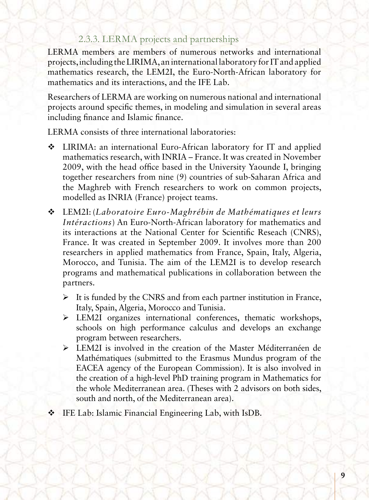#### 2.3.3. LERMA projects and partnerships

<span id="page-20-0"></span>LERMA members are members of numerous networks and international projects, including the LIRIMA, an international laboratory for IT and applied mathematics research, the LEM2I, the Euro-North-African laboratory for mathematics and its interactions, and the IFE Lab.

Researchers of LERMA are working on numerous national and international projects around specific themes, in modeling and simulation in several areas including finance and Islamic finance.

LERMA consists of three international laboratories:

- LIRIMA: an international Euro-African laboratory for IT and applied mathematics research, with INRIA – France. It was created in November 2009, with the head office based in the University Yaounde I, bringing together researchers from nine (9) countries of sub-Saharan Africa and the Maghreb with French researchers to work on common projects, modelled as INRIA (France) project teams.
- LEM2I: (*Laboratoire Euro-Maghrébin de Mathématiques et leurs Intéractions*) An Euro-North-African laboratory for mathematics and its interactions at the National Center for Scientific Reseach (CNRS), France. It was created in September 2009. It involves more than 200 researchers in applied mathematics from France, Spain, Italy, Algeria, Morocco, and Tunisia. The aim of the LEM2I is to develop research programs and mathematical publications in collaboration between the partners.
	- $\triangleright$  It is funded by the CNRS and from each partner institution in France, Italy, Spain, Algeria, Morocco and Tunisia.
	- ¾ LEM2I organizes international conferences, thematic workshops, schools on high performance calculus and develops an exchange program between researchers.
	- ¾ LEM2I is involved in the creation of the Master Méditerranéen de Mathématiques (submitted to the Erasmus Mundus program of the EACEA agency of the European Commission). It is also involved in the creation of a high-level PhD training program in Mathematics for the whole Mediterranean area. (Theses with 2 advisors on both sides, south and north, of the Mediterranean area).
- IFE Lab: Islamic Financial Engineering Lab, with IsDB.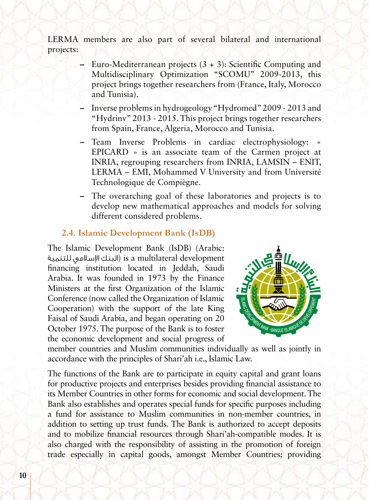<span id="page-21-0"></span>LERMA members are also part of several bilateral and international projects:

- **−** Euro-Mediterranean projects (3 + 3): Scientific Computing and Multidisciplinary Optimization "SCOMU" 2009-2013, this project brings together researchers from (France, Italy, Morocco and Tunisia).
- **−** Inverse problems in hydrogeology "Hydromed" 2009 2013 and "Hydrinv" 2013 - 2015. This project brings together researchers from Spain, France, Algeria, Morocco and Tunisia.
- **−** Team Inverse Problems in cardiac electrophysiology: « EPICARD » is an associate team of the Carmen project at INRIA, regrouping researchers from INRIA, LAMSIN – ENIT, LERMA – EMI, Mohammed V University and from Université Technologique de Compiègne.
- **−** The overarching goal of these laboratories and projects is to develop new mathematical approaches and models for solving different considered problems.

#### **2.4. Islamic Development Bank (IsDB)**

The Islamic Development Bank (IsDB) (Arabic: اللينك الإسلامي للتنمية is a multilateral development financing institution located in Jeddah, Saudi Arabia. It was founded in 1973 by the Finance Ministers at the first Organization of the Islamic Conference (now called the Organization of Islamic Cooperation) with the support of the late King Faisal of Saudi Arabia, and began operating on 20 October 1975. The purpose of the Bank is to foster the economic development and social progress of



member countries and Muslim communities individually as well as jointly in accordance with the principles of Shari'ah i.e., Islamic Law.

The functions of the Bank are to participate in equity capital and grant loans for productive projects and enterprises besides providing financial assistance to its Member Countries in other forms for economic and social development. The Bank also establishes and operates special funds for specific purposes including a fund for assistance to Muslim communities in non-member countries, in addition to setting up trust funds. The Bank is authorized to accept deposits and to mobilize financial resources through Shari'ah-compatible modes. It is also charged with the responsibility of assisting in the promotion of foreign trade especially in capital goods, amongst Member Countries; providing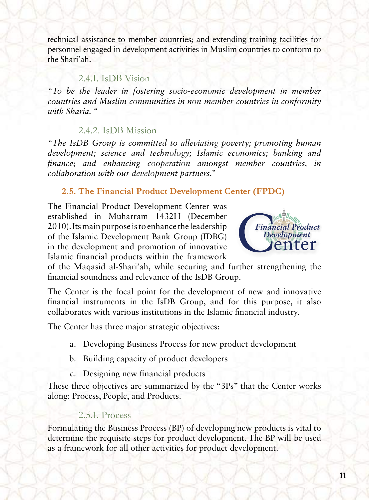<span id="page-22-0"></span>technical assistance to member countries; and extending training facilities for personnel engaged in development activities in Muslim countries to conform to the Shari'ah.

#### 2.4.1. IsDB Vision

*"To be the leader in fostering socio-economic development in member countries and Muslim communities in non-member countries in conformity with Sharia. "*

#### 2.4.2. IsDB Mission

*"The IsDB Group is committed to alleviating poverty; promoting human development; science and technology; Islamic economics; banking and finance; and enhancing cooperation amongst member countries, in collaboration with our development partners."*

#### **2.5. The Financial Product Development Center (FPDC)**

The Financial Product Development Center was established in Muharram 1432H (December 2010). Its main purpose is to enhance the leadership of the Islamic Development Bank Group (IDBG) in the development and promotion of innovative Islamic financial products within the framework



of the Maqasid al-Shari'ah, while securing and further strengthening the financial soundness and relevance of the IsDB Group.

The Center is the focal point for the development of new and innovative financial instruments in the IsDB Group, and for this purpose, it also collaborates with various institutions in the Islamic financial industry.

The Center has three major strategic objectives:

- a. Developing Business Process for new product development
- b. Building capacity of product developers
- c. Designing new financial products

These three objectives are summarized by the "3Ps" that the Center works along: Process, People, and Products.

#### 2.5.1. Process

Formulating the Business Process (BP) of developing new products is vital to determine the requisite steps for product development. The BP will be used as a framework for all other activities for product development.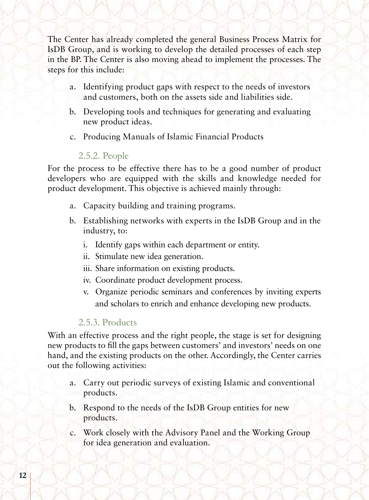<span id="page-23-0"></span>The Center has already completed the general Business Process Matrix for IsDB Group, and is working to develop the detailed processes of each step in the BP. The Center is also moving ahead to implement the processes. The steps for this include:

- a. Identifying product gaps with respect to the needs of investors and customers, both on the assets side and liabilities side.
- b. Developing tools and techniques for generating and evaluating new product ideas.
- c. Producing Manuals of Islamic Financial Products

#### 2.5.2. People

For the process to be effective there has to be a good number of product developers who are equipped with the skills and knowledge needed for product development. This objective is achieved mainly through:

- a. Capacity building and training programs.
- b. Establishing networks with experts in the IsDB Group and in the industry, to:
	- i. Identify gaps within each department or entity.
	- ii. Stimulate new idea generation.
	- iii. Share information on existing products.
	- iv. Coordinate product development process.
	- v. Organize periodic seminars and conferences by inviting experts and scholars to enrich and enhance developing new products.

#### 2.5.3. Products

With an effective process and the right people, the stage is set for designing new products to fill the gaps between customers' and investors' needs on one hand, and the existing products on the other. Accordingly, the Center carries out the following activities:

- a. Carry out periodic surveys of existing Islamic and conventional products.
- b. Respond to the needs of the IsDB Group entities for new products.
- c. Work closely with the Advisory Panel and the Working Group for idea generation and evaluation.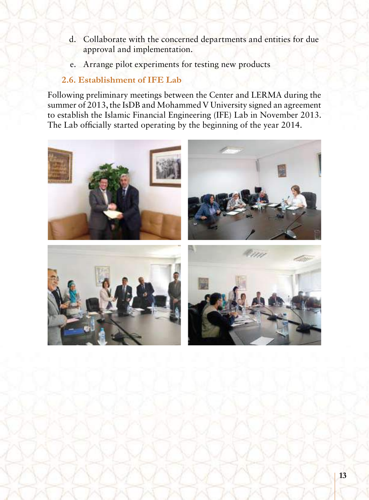- <span id="page-24-0"></span>d. Collaborate with the concerned departments and entities for due approval and implementation.
- e. Arrange pilot experiments for testing new products

#### **2.6. Establishment of IFE Lab**

Following preliminary meetings between the Center and LERMA during the summer of 2013, the IsDB and Mohammed V University signed an agreement to establish the Islamic Financial Engineering (IFE) Lab in November 2013. The Lab officially started operating by the beginning of the year 2014.

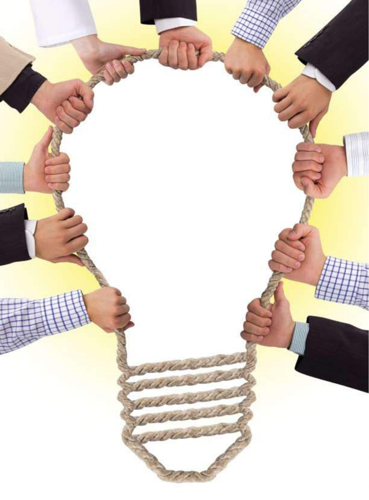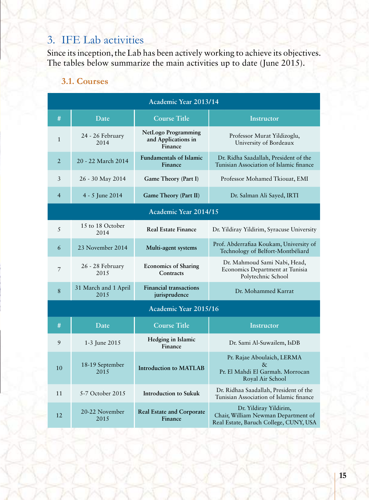# <span id="page-26-0"></span>3. IFE Lab activities

Since its inception, the Lab has been actively working to achieve its objectives. The tables below summarize the main activities up to date (June 2015).

|                | Academic Year 2013/14        |                                                       |                                                                                                         |  |  |  |
|----------------|------------------------------|-------------------------------------------------------|---------------------------------------------------------------------------------------------------------|--|--|--|
| #              | Date                         | <b>Course Title</b>                                   | Instructor                                                                                              |  |  |  |
| $\mathbf{1}$   | 24 - 26 February<br>2014     | NetLogo Programming<br>and Applications in<br>Finance | Professor Murat Yildizoglu,<br>University of Bordeaux                                                   |  |  |  |
| $\overline{2}$ | 20 - 22 March 2014           | <b>Fundamentals of Islamic</b><br>Finance             | Dr. Ridha Saadallah, President of the<br>Tunisian Association of Islamic finance                        |  |  |  |
| 3              | 26 - 30 May 2014             | Game Theory (Part I)                                  | Professor Mohamed Tkiouat, EMI                                                                          |  |  |  |
| $\overline{4}$ | 4 - 5 June 2014              | Game Theory (Part II)                                 | Dr. Salman Ali Sayed, IRTI                                                                              |  |  |  |
|                | Academic Year 2014/15        |                                                       |                                                                                                         |  |  |  |
| 5              | 15 to 18 October<br>2014     | <b>Real Estate Finance</b>                            | Dr. Yildiray Yildirim, Syracuse University                                                              |  |  |  |
| 6              | 23 November 2014             | Multi-agent systems                                   | Prof. Abderrafiaa Koukam, University of<br>Technology of Belfort-Montbéliard                            |  |  |  |
| 7              | 26 - 28 February<br>2015     | <b>Economics of Sharing</b><br>Contracts              | Dr. Mahmoud Sami Nabi, Head,<br>Economics Department at Tunisia<br>Polytechnic School                   |  |  |  |
| 8              | 31 March and 1 April<br>2015 | <b>Financial transactions</b><br>jurisprudence        | Dr. Mohammed Karrat                                                                                     |  |  |  |
|                |                              | Academic Year 2015/16                                 |                                                                                                         |  |  |  |
| #              | Date                         | <b>Course Title</b>                                   | <b>Instructor</b>                                                                                       |  |  |  |
| 9              | 1-3 June 2015                | Hedging in Islamic<br>Finance                         | Dr. Sami Al-Suwailem, IsDB                                                                              |  |  |  |
| 10             | 18-19 September<br>2015      | <b>Introduction to MATLAB</b>                         | Pr. Rajae Aboulaich, LERMA<br>8z<br>Pr. El Mahdi El Garmah. Morrocan<br>Royal Air School                |  |  |  |
| 11             | 5-7 October 2015             | <b>Introduction to Sukuk</b>                          | Dr. Ridhaa Saadallah, President of the<br>Tunisian Association of Islamic finance                       |  |  |  |
| 12             | 20-22 November<br>2015       | Real Estate and Corporate<br>Finance                  | Dr. Yildiray Yildirim,<br>Chair, William Newman Department of<br>Real Estate, Baruch College, CUNY, USA |  |  |  |

### **3.1. Courses**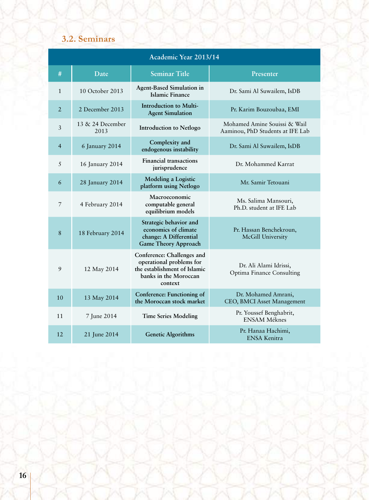# <span id="page-27-0"></span>**3.2. Seminars**

| Academic Year 2013/14 |                          |                                                                                                                            |                                                                  |  |
|-----------------------|--------------------------|----------------------------------------------------------------------------------------------------------------------------|------------------------------------------------------------------|--|
| #                     | Date                     | <b>Seminar Title</b>                                                                                                       | Presenter                                                        |  |
| 1                     | 10 October 2013          | <b>Agent-Based Simulation in</b><br><b>Islamic Finance</b>                                                                 | Dr. Sami Al Suwailem, IsDB                                       |  |
| $\overline{2}$        | 2 December 2013          | Introduction to Multi-<br><b>Agent Simulation</b>                                                                          | Pr. Karim Bouzoubaa, EMI                                         |  |
| 3                     | 13 & 24 December<br>2013 | <b>Introduction to Netlogo</b>                                                                                             | Mohamed Amine Souissi & Wail<br>Aaminou, PhD Students at IFE Lab |  |
| $\overline{4}$        | 6 January 2014           | Complexity and<br>endogenous instability                                                                                   | Dr. Sami Al Suwailem, IsDB                                       |  |
| 5                     | 16 January 2014          | <b>Financial transactions</b><br>jurisprudence                                                                             | Dr. Mohammed Karrat                                              |  |
| 6                     | 28 January 2014          | Modeling a Logistic<br>platform using Netlogo                                                                              | Mr. Samir Tetouani                                               |  |
| 7                     | 4 February 2014          | Macroeconomic<br>computable general<br>equilibrium models                                                                  | Ms. Salima Mansouri,<br>Ph.D. student at IFE Lab                 |  |
| 8                     | 18 February 2014         | Strategic behavior and<br>economics of climate<br>change: A Differential<br><b>Game Theory Approach</b>                    | Pr. Hassan Benchekroun,<br>McGill University                     |  |
| 9                     | 12 May 2014              | Conference: Challenges and<br>operational problems for<br>the establishment of Islamic<br>banks in the Moroccan<br>context | Dr. Ali Alami Idrissi,<br>Optima Finance Consulting              |  |
| 10                    | 13 May 2014              | Conference: Functioning of<br>the Moroccan stock market                                                                    | Dr. Mohamed Amrani,<br>CEO, BMCI Asset Management                |  |
| 11                    | 7 June 2014              | <b>Time Series Modeling</b>                                                                                                | Pr. Youssef Benghabrit,<br><b>ENSAM Méknes</b>                   |  |
| 12                    | 21 June 2014             | <b>Genetic Algorithms</b>                                                                                                  | Pr. Hanaa Hachimi,<br><b>ENSA Kenitra</b>                        |  |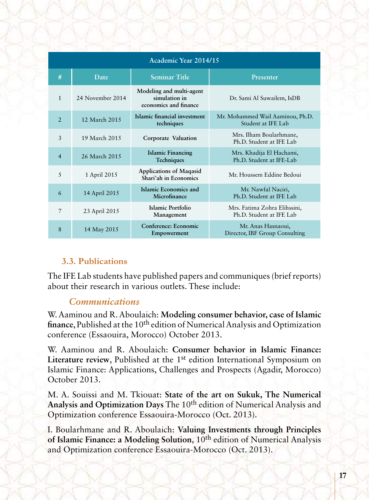| Academic Year 2014/15 |                  |                                                                    |                                                          |  |
|-----------------------|------------------|--------------------------------------------------------------------|----------------------------------------------------------|--|
| #                     | Date             | <b>Seminar Title</b>                                               | Presenter                                                |  |
| $\mathbf{1}$          | 24 November 2014 | Modeling and multi-agent<br>simulation in<br>economics and finance | Dr. Sami Al Suwailem, IsDB                               |  |
| $\overline{2}$        | 12 March 2015    | Islamic financial investment<br>techniques                         | Mr. Mohammed Wail Aaminou, Ph.D.<br>Student at IFE Lab   |  |
| 3                     | 19 March 2015    | Corporate Valuation                                                | Mrs. Ilham Boularhmane,<br>Ph.D. Student at IFE Lab      |  |
| $\overline{4}$        | 26 March 2015    | <b>Islamic Financing</b><br>Techniques                             | Mrs. Khadija El Hachami,<br>Ph.D. Student at IFE-Lab     |  |
| 5                     | 1 April 2015     | Applications of Magasid<br>Shari'ah in Economics                   | Mr. Houssem Eddine Bedoui                                |  |
| 6                     | 14 April 2015    | Islamic Economics and<br>Microfinance                              | Mr. Nawfal Naciri,<br>Ph.D. Student at IFE Lab           |  |
| 7                     | 23 April 2015    | Islamic Portfolio<br>Management                                    | Mrs. Fatima Zohra Elihssini,<br>Ph.D. Student at IFE Lab |  |
| 8                     | 14 May 2015      | Conference: Economic<br>Empowerment                                | Mr. Anas Hasnaoui,<br>Director, IBF Group Consulting     |  |

#### **3.3. Publications**

The IFE Lab students have published papers and communiques (brief reports) about their research in various outlets. These include:

#### *Communications*

W. Aaminou and R. Aboulaich: **Modeling consumer behavior, case of Islamic finance**, Published at the 10<sup>th</sup> edition of Numerical Analysis and Optimization conference (Essaouira, Morocco) October 2013.

W. Aaminou and R. Aboulaich: **Consumer behavior in Islamic Finance:**  Literature review, Published at the 1<sup>st</sup> edition International Symposium on Islamic Finance: Applications, Challenges and Prospects (Agadir, Morocco) October 2013.

M. A. Souissi and M. Tkiouat: **State of the art on Sukuk, The Numerical Analysis and Optimization Days** The 10th edition of Numerical Analysis and Optimization conference Essaouira-Morocco (Oct. 2013).

I. Boularhmane and R. Aboulaich: **Valuing Investments through Principles of Islamic Finance: a Modeling Solution**, 10th edition of Numerical Analysis and Optimization conference Essaouira-Morocco (Oct. 2013).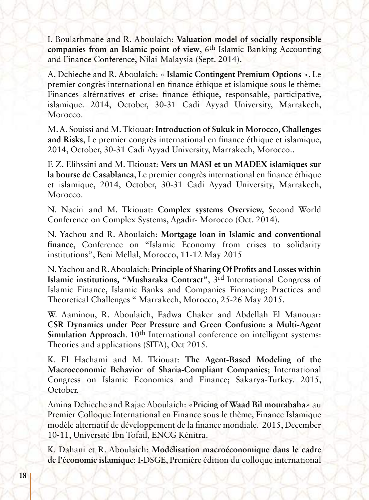<span id="page-29-0"></span>I. Boularhmane and R. Aboulaich: **Valuation model of socially responsible companies from an Islamic point of view**, 6th Islamic Banking Accounting and Finance Conference, Nilai-Malaysia (Sept. 2014).

A. Dchieche and R. Aboulaich: « **Islamic Contingent Premium Options** ». Le premier congrès international en finance éthique et islamique sous le thème: Finances altérnatives et crise: finance éthique, responsable, participative, islamique. 2014, October, 30-31 Cadi Ayyad University, Marrakech, Morocco.

M. A. Souissi and M. Tkiouat: **Introduction of Sukuk in Morocco, Challenges and Risks**, Le premier congrès international en finance éthique et islamique, 2014, October, 30-31 Cadi Ayyad University, Marrakech, Morocco..

F. Z. Elihssini and M. Tkiouat: **Vers un MASI et un MADEX islamiques sur la bourse de Casablanca**, Le premier congrès international en finance éthique et islamique, 2014, October, 30-31 Cadi Ayyad University, Marrakech, Morocco.

N. Naciri and M. Tkiouat: **Complex systems Overview,** Second World Conference on Complex Systems, Agadir- Morocco (Oct. 2014).

N. Yachou and R. Aboulaich: **Mortgage loan in Islamic and conventional finance**, Conference on "Islamic Economy from crises to solidarity institutions", Beni Mellal, Morocco, 11-12 May 2015

N. Yachou and R. Aboulaich: **Principle of Sharing Of Profits and Losses within Islamic institutions, "Musharaka Contract"**, 3rd International Congress of Islamic Finance, Islamic Banks and Companies Financing: Practices and Theoretical Challenges " Marrakech, Morocco, 25-26 May 2015.

W. Aaminou, R. Aboulaich, Fadwa Chaker and Abdellah El Manouar: **CSR Dynamics under Peer Pressure and Green Confusion: a Multi-Agent Simulation Approach.** 10<sup>th</sup> International conference on intelligent systems: Theories and applications (SITA), Oct 2015.

K. El Hachami and M. Tkiouat: **The Agent-Based Modeling of the Macroeconomic Behavior of Sharia-Compliant Companies**; International Congress on Islamic Economics and Finance; Sakarya-Turkey. 2015, October.

Amina Dchieche and Rajae Aboulaich: «**Pricing of Waad Bil mourabaha**» au Premier Colloque International en Finance sous le thème, Finance Islamique modèle alternatif de développement de la finance mondiale. 2015, December 10-11, Université Ibn Tofail, ENCG Kénitra.

K. Dahani et R. Aboulaich: **Modélisation macroéconomique dans le cadre de l'économie islamique**: I-DSGE, Première édition du colloque international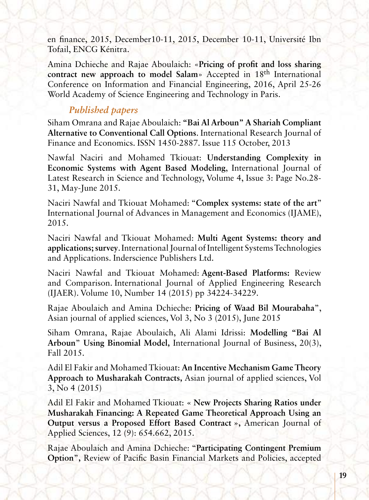en finance, 2015, December10-11, 2015, December 10-11, Université Ibn Tofail, ENCG Kénitra.

Amina Dchieche and Rajae Aboulaich: «**Pricing of profit and loss sharing contract new approach to model Salam**» Accepted in 18th International Conference on Information and Financial Engineering, 2016, April 25-26 World Academy of Science Engineering and Technology in Paris.

#### *Published papers*

Siham Omrana and Rajae Aboulaich: **"Bai Al Arboun" A Shariah Compliant Alternative to Conventional Call Options**. International Research Journal of Finance and Economics. ISSN 1450-2887. Issue 115 October, 2013

Nawfal Naciri and Mohamed Tkiouat: **Understanding Complexity in Economic Systems with Agent Based Modeling**, International Journal of Latest Research in Science and Technology, Volume 4, Issue 3: Page No.28- 31, May-June 2015.

Naciri Nawfal and Tkiouat Mohamed: "**Complex systems: state of the art**" International Journal of Advances in Management and Economics (IJAME), 2015.

Naciri Nawfal and Tkiouat Mohamed: **Multi Agent Systems: theory and applications; survey**. International Journal of Intelligent Systems Technologies and Applications. Inderscience Publishers Ltd.

Naciri Nawfal and Tkiouat Mohamed: **Agent-Based Platforms:** Review and Comparison. International Journal of Applied Engineering Research (IJAER). Volume 10, Number 14 (2015) pp 34224-34229.

Rajae Aboulaich and Amina Dchieche: **Pricing of Waad Bil Mourabaha**", Asian journal of applied sciences, Vol 3, No 3 (2015), June 2015

Siham Omrana, Rajae Aboulaich, Ali Alami Idrissi: **Modelling "Bai Al Arboun**" **Using Binomial Model,** International Journal of Business, 20(3), Fall 2015.

Adil El Fakir and Mohamed Tkiouat: **An Incentive Mechanism Game Theory Approach to Musharakah Contracts,** Asian journal of applied sciences, [Vol](http://www.ajouronline.com/index.php?journal=AJAS&page=issue&op=view&path%5B%5D=133)  [3, No 4 \(2015\)](http://www.ajouronline.com/index.php?journal=AJAS&page=issue&op=view&path%5B%5D=133)

Adil El Fakir and Mohamed Tkiouat: **« New Projects Sharing Ratios under Musharakah Financing: A Repeated Game Theoretical Approach Using an Output versus a Proposed Effort Based Contract »,** American Journal of Applied Sciences, 12 (9): 654.662, 2015.

Rajae Aboulaich and Amina Dchieche: "**Participating Contingent Premium Option**"**,** Review of Pacific Basin Financial Markets and Policies, accepted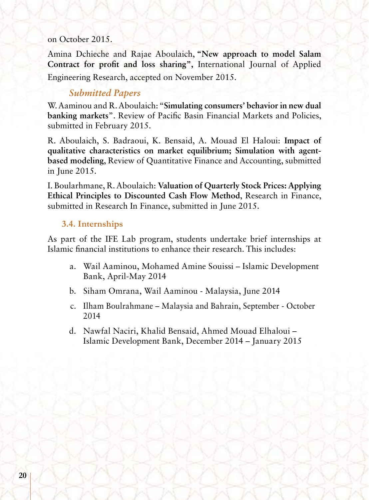#### <span id="page-31-0"></span>on October 2015.

Amina Dchieche and Rajae Aboulaich, **"New approach to model Salam Contract for profit and loss sharing",** International Journal of Applied Engineering Research, accepted on November 2015.

#### *Submitted Papers*

W. Aaminou and R. Aboulaich: "**Simulating consumers' behavior in new dual banking markets**". Review of Pacific Basin Financial Markets and Policies, submitted in February 2015.

R. Aboulaich, S. Badraoui, K. Bensaid, A. Mouad El Haloui: **Impact of qualitative characteristics on market equilibrium; Simulation with agentbased modeling**, Review of Quantitative Finance and Accounting, submitted in June 2015.

I. Boularhmane, R. Aboulaich: **Valuation of Quarterly Stock Prices: Applying Ethical Principles to Discounted Cash Flow Method**, Research in Finance, submitted in Research In Finance, submitted in June 2015.

#### **3.4. Internships**

As part of the IFE Lab program, students undertake brief internships at Islamic financial institutions to enhance their research. This includes:

- a. Wail Aaminou, Mohamed Amine Souissi Islamic Development Bank, April-May 2014
- b. Siham Omrana, Wail Aaminou Malaysia, June 2014
- c. Ilham Boulrahmane Malaysia and Bahrain, September October 2014
- d. Nawfal Naciri, Khalid Bensaid, Ahmed Mouad Elhaloui Islamic Development Bank, December 2014 – January 2015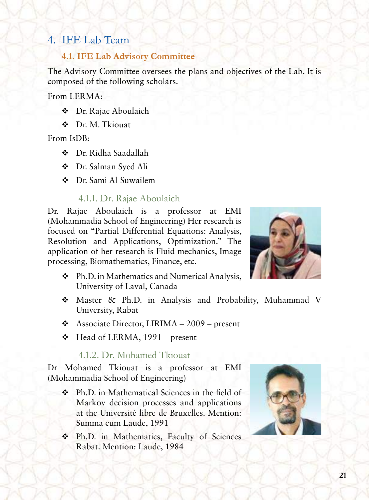# <span id="page-32-0"></span>4. IFE Lab Team

# **4.1. IFE Lab Advisory Committee**

The Advisory Committee oversees the plans and objectives of the Lab. It is composed of the following scholars.

From LERMA:

- Dr. Rajae Aboulaich
- Dr. M. Tkiouat

From IsDB:

- Dr. Ridha Saadallah
- Dr. Salman Syed Ali
- Dr. Sami Al-Suwailem

# 4.1.1. Dr. Rajae Aboulaich

Dr. Rajae Aboulaich is a professor at EMI (Mohammadia School of Engineering) Her research is focused on "Partial Differential Equations: Analysis, Resolution and Applications, Optimization." The application of her research is Fluid mechanics, Image processing, Biomathematics, Finance, etc.

- Ph.D. in Mathematics and Numerical Analysis, University of Laval, Canada
- Master & Ph.D. in Analysis and Probability, Muhammad V University, Rabat
- Associate Director, LIRIMA 2009 present
- $\div$  Head of LERMA, 1991 present

### 4.1.2. Dr. Mohamed Tkiouat

Dr Mohamed Tkiouat is a professor at EMI (Mohammadia School of Engineering)

- Ph.D. in Mathematical Sciences in the field of Markov decision processes and applications at the Université libre de Bruxelles. Mention: Summa cum Laude, 1991
- Ph.D. in Mathematics, Faculty of Sciences Rabat. Mention: Laude, 1984



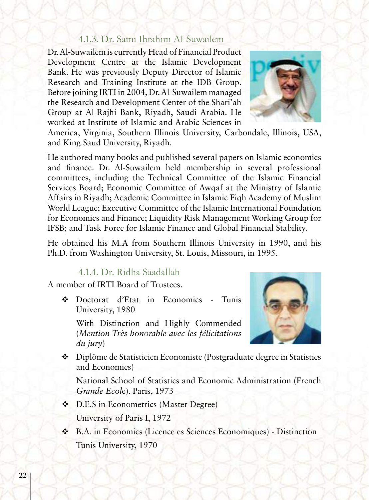#### 4.1.3. Dr. Sami Ibrahim Al-Suwailem

<span id="page-33-0"></span>Dr. Al-Suwailem is currently Head of Financial Product Development Centre at the Islamic Development Bank. He was previously Deputy Director of Islamic Research and Training Institute at the IDB Group. Before joining IRTI in 2004, Dr. Al-Suwailem managed the Research and Development Center of the Shari'ah Group at Al-Rajhi Bank, Riyadh, Saudi Arabia. He worked at Institute of Islamic and Arabic Sciences in



America, Virginia, Southern Illinois University, Carbondale, Illinois, USA, and King Saud University, Riyadh.

He authored many books and published several papers on Islamic economics and finance. Dr. Al-Suwailem held membership in several professional committees, including the Technical Committee of the Islamic Financial Services Board; Economic Committee of Awqaf at the Ministry of Islamic Affairs in Riyadh; Academic Committee in Islamic Fiqh Academy of Muslim World League; Executive Committee of the Islamic International Foundation for Economics and Finance; Liquidity Risk Management Working Group for IFSB; and Task Force for Islamic Finance and Global Financial Stability.

He obtained his M.A from Southern Illinois University in 1990, and his Ph.D. from Washington University, St. Louis, Missouri, in 1995.

#### 4.1.4. Dr. Ridha Saadallah

A member of IRTI Board of Trustees.

 Doctorat d'Etat in Economics - Tunis University, 1980

With Distinction and Highly Commended (*Mention Très honorable avec les félicitations du jury*)



 Diplôme de Statisticien Economiste (Postgraduate degree in Statistics and Economics)

National School of Statistics and Economic Administration (French *Grande Ecol*e). Paris, 1973

- D.E.S in Econometrics (Master Degree) University of Paris I, 1972
- B.A. in Economics (Licence es Sciences Economiques) Distinction Tunis University, 1970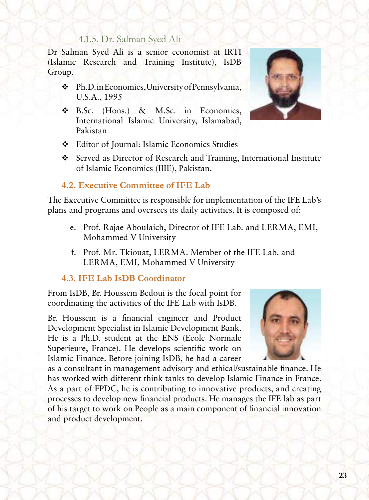#### 4.1.5. Dr. Salman Syed Ali

<span id="page-34-0"></span>Dr Salman Syed Ali is a senior economist at IRTI (Islamic Research and Training Institute), IsDB Group.

- Ph.D. in Economics, University of Pennsylvania, U.S.A., 1995
- B.Sc. (Hons.) & M.Sc. in Economics, International Islamic University, Islamabad, Pakistan
- Editor of Journal: Islamic Economics Studies
- ◆ Served as Director of Research and Training, International Institute of Islamic Economics (IIIE), Pakistan.

#### **4.2. Executive Committee of IFE Lab**

The Executive Committee is responsible for implementation of the IFE Lab's plans and programs and oversees its daily activities. It is composed of:

- e. Prof. Rajae Aboulaich, Director of IFE Lab. and LERMA, EMI, Mohammed V University
- f. Prof. Mr. Tkiouat, LERMA. Member of the IFE Lab. and LERMA, EMI, Mohammed V University

#### **4.3. IFE Lab IsDB Coordinator**

From IsDB, Br. Houssem Bedoui is the focal point for coordinating the activities of the IFE Lab with IsDB.

Br. Houssem is a financial engineer and Product Development Specialist in Islamic Development Bank. He is a Ph.D. student at the ENS (Ecole Normale Superieure, France). He develops scientific work on Islamic Finance. Before joining IsDB, he had a career



as a consultant in management advisory and ethical/sustainable finance. He has worked with different think tanks to develop Islamic Finance in France. As a part of FPDC, he is contributing to innovative products, and creating processes to develop new financial products. He manages the IFE lab as part of his target to work on People as a main component of financial innovation and product development.

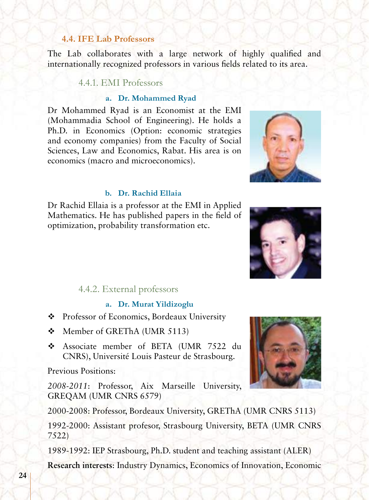#### **4.4. IFE Lab Professors**

<span id="page-35-0"></span>The Lab collaborates with a large network of highly qualified and internationally recognized professors in various fields related to its area.

#### 4.4.1. EMI Professors

#### **a. Dr. Mohammed Ryad**

Dr Mohammed Ryad is an Economist at the EMI (Mohammadia School of Engineering). He holds a Ph.D. in Economics (Option: economic strategies and economy companies) from the Faculty of Social Sciences, Law and Economics, Rabat. His area is on economics (macro and microeconomics).

#### **b. Dr. Rachid Ellaia**

Dr Rachid Ellaia is a professor at the EMI in Applied Mathematics. He has published papers in the field of optimization, probability transformation etc.

#### 4.4.2. External professors

#### **a. Dr. Murat Yildizoglu**

- Professor of Economics, Bordeaux University
- Member of GREThA (UMR 5113)
- Associate member of BETA (UMR 7522 du CNRS), Université Louis Pasteur de Strasbourg.

Previous Positions:

*2008-2011*: Professor, Aix Marseille University, GREQAM (UMR CNRS 6579)

2000-2008: Professor, Bordeaux University, GREThA (UMR CNRS 5113)

1992-2000: Assistant profesor, Strasbourg University, BETA (UMR CNRS 7522)

1989-1992: IEP Strasbourg, Ph.D. student and teaching assistant (ALER)

**Research interests**: Industry Dynamics, Economics of Innovation, Economic





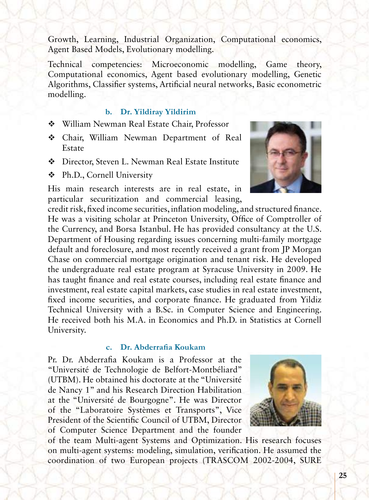<span id="page-36-0"></span>Growth, Learning, Industrial Organization, Computational economics, Agent Based Models, Evolutionary modelling.

Technical competencies: Microeconomic modelling, Game theory, Computational economics, Agent based evolutionary modelling, Genetic Algorithms, Classifier systems, Artificial neural networks, Basic econometric modelling.

#### **b. Dr. Yildiray Yildirim**

- William Newman Real Estate Chair, Professor
- Chair, William Newman Department of Real Estate
- Director, Steven L. Newman Real Estate Institute
- Ph.D., Cornell University

His main research interests are in real estate, in particular securitization and commercial leasing,



credit risk, fixed income securities, inflation modeling, and structured finance. He was a visiting scholar at Princeton University, Office of Comptroller of the Currency, and Borsa Istanbul. He has provided consultancy at the U.S. Department of Housing regarding issues concerning multi-family mortgage default and foreclosure, and most recently received a grant from JP Morgan Chase on commercial mortgage origination and tenant risk. He developed the undergraduate real estate program at Syracuse University in 2009. He has taught finance and real estate courses, including real estate finance and investment, real estate capital markets, case studies in real estate investment, fixed income securities, and corporate finance. He graduated from Yildiz Technical University with a B.Sc. in Computer Science and Engineering. He received both his M.A. in Economics and Ph.D. in Statistics at Cornell University.

#### **c. Dr. Abderrafia Koukam**

Pr. Dr. Abderrafia Koukam is a Professor at the "Université de Technologie de Belfort-Montbéliard" (UTBM). He obtained his doctorate at the "Université de Nancy 1" and his Research Direction Habilitation at the "Université de Bourgogne". He was Director of the "Laboratoire Systèmes et Transports", Vice President of the Scientific Council of UTBM, Director of Computer Science Department and the founder



of the team Multi-agent Systems and Optimization. His research focuses on multi-agent systems: modeling, simulation, verification. He assumed the coordination of two European projects (TRASCOM 2002-2004, SURE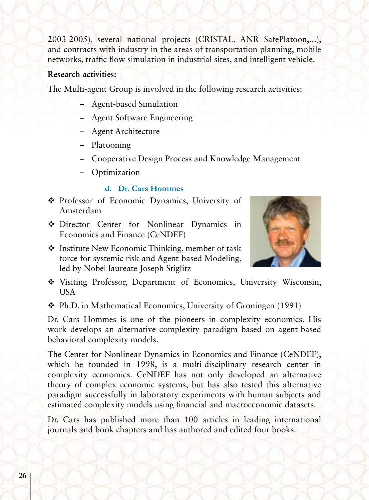<span id="page-37-0"></span>2003-2005), several national projects (CRISTAL, ANR SafePlatoon,...), and contracts with industry in the areas of transportation planning, mobile networks, traffic flow simulation in industrial sites, and intelligent vehicle.

#### **Research activities:**

The Multi-agent Group is involved in the following research activities:

- **−** Agent-based Simulation
- **−** Agent Software Engineering
- **−** Agent Architecture
- **−** Platooning
- **−** Cooperative Design Process and Knowledge Management
- **−** Optimization

#### **d. Dr. Cars Hommes**

- Professor of Economic Dynamics, University of Amsterdam
- Director Center for Nonlinear Dynamics in Economics and Finance (CeNDEF)
- ❖ Institute New Economic Thinking, member of task force for systemic risk and Agent-based Modeling, led by Nobel laureate Joseph Stiglitz



- Visiting Professor, Department of Economics, University Wisconsin, **I**ISA
- Ph.D. in Mathematical Economics, University of Groningen (1991)

Dr. Cars Hommes is one of the pioneers in complexity economics. His work develops an alternative complexity paradigm based on agent-based behavioral complexity models.

The Center for Nonlinear Dynamics in Economics and Finance (CeNDEF), which he founded in 1998, is a multi-disciplinary research center in complexity economics. CeNDEF has not only developed an alternative theory of complex economic systems, but has also tested this alternative paradigm successfully in laboratory experiments with human subjects and estimated complexity models using financial and macroeconomic datasets.

Dr. Cars has published more than 100 articles in leading international journals and book chapters and has authored and edited four books.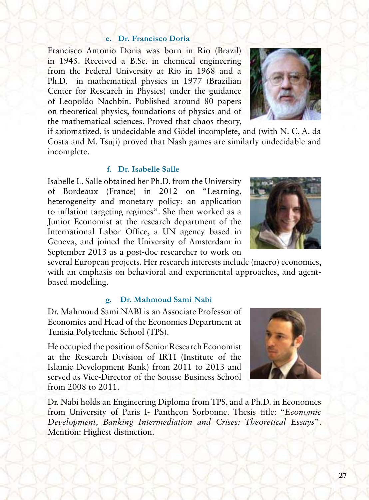#### **e. Dr. Francisco Doria**

<span id="page-38-0"></span>Francisco Antonio Doria was born in Rio (Brazil) in 1945. Received a B.Sc. in chemical engineering from the Federal University at Rio in 1968 and a Ph.D. in mathematical physics in 1977 (Brazilian Center for Research in Physics) under the guidance of Leopoldo Nachbin. Published around 80 papers on theoretical physics, foundations of physics and of the mathematical sciences. Proved that chaos theory,



if axiomatized, is undecidable and Gödel incomplete, and (with N. C. A. da Costa and M. Tsuji) proved that Nash games are similarly undecidable and incomplete.

#### **f. Dr. Isabelle Salle**

Isabelle L. Salle obtained her Ph.D. from the University of Bordeaux (France) in 2012 on "Learning, heterogeneity and monetary policy: an application to inflation targeting regimes". She then worked as a Junior Economist at the research department of the International Labor Office, a UN agency based in Geneva, and joined the University of Amsterdam in September 2013 as a post-doc researcher to work on

several European projects. Her research interests include (macro) economics, with an emphasis on behavioral and experimental approaches, and agentbased modelling.

#### **g. Dr. Mahmoud Sami Nabi**

Dr. Mahmoud Sami NABI is an Associate Professor of Economics and Head of the Economics Department at Tunisia Polytechnic School (TPS).

He occupied the position of Senior Research Economist at the Research Division of IRTI (Institute of the Islamic Development Bank) from 2011 to 2013 and served as Vice-Director of the Sousse Business School from 2008 to 2011.



Dr. Nabi holds an Engineering Diploma from TPS, and a Ph.D. in Economics from University of Paris I- Pantheon Sorbonne. Thesis title: "*Economic Development, Banking Intermediation and Crises: Theoretical Essays*". Mention: Highest distinction.

**27**

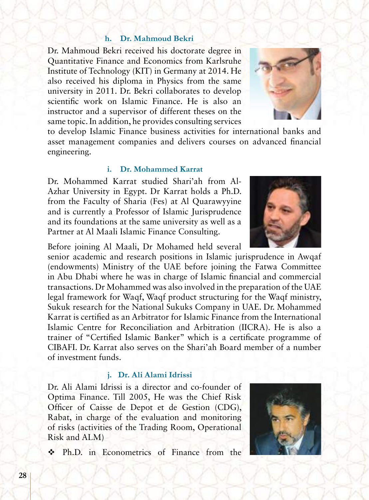#### **h. Dr. Mahmoud Bekri**

<span id="page-39-0"></span>Dr. Mahmoud Bekri received his doctorate degree in Quantitative Finance and Economics from Karlsruhe Institute of Technology (KIT) in Germany at 2014. He also received his diploma in Physics from the same university in 2011. Dr. Bekri collaborates to develop scientific work on Islamic Finance. He is also an instructor and a supervisor of different theses on the same topic. In addition, he provides consulting services



to develop Islamic Finance business activities for international banks and asset management companies and delivers courses on advanced financial engineering.

#### **i. Dr. Mohammed Karrat**

Dr. Mohammed Karrat studied Shari'ah from Al-Azhar University in Egypt. Dr Karrat holds a Ph.D. from the Faculty of Sharia (Fes) at Al Quarawyyine and is currently a Professor of Islamic Jurisprudence and its foundations at the same university as well as a Partner at Al Maali Islamic Finance Consulting.



Before joining Al Maali, Dr Mohamed held several

senior academic and research positions in Islamic jurisprudence in Awqaf (endowments) Ministry of the UAE before joining the Fatwa Committee in Abu Dhabi where he was in charge of Islamic financial and commercial transactions. Dr Mohammed was also involved in the preparation of the UAE legal framework for Waqf, Waqf product structuring for the Waqf ministry, Sukuk research for the National Sukuks Company in UAE. Dr. Mohammed Karrat is certified as an Arbitrator for Islamic Finance from the International Islamic Centre for Reconciliation and Arbitration (IICRA). He is also a trainer of "Certified Islamic Banker" which is a certificate programme of CIBAFI. Dr. Karrat also serves on the Shari'ah Board member of a number of investment funds.

#### **j. Dr. Ali Alami Idrissi**

Dr. Ali Alami Idrissi is a director and co-founder of Optima Finance. Till 2005, He was the Chief Risk Officer of Caisse de Depot et de Gestion (CDG), Rabat, in charge of the evaluation and monitoring of risks (activities of the Trading Room, Operational Risk and ALM)



Ph.D. in Econometrics of Finance from the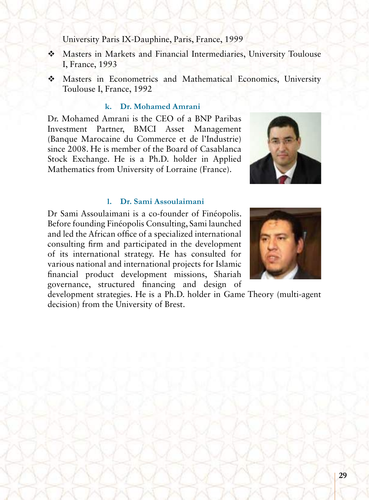University Paris IX-Dauphine, Paris, France, 1999

- <span id="page-40-0"></span> Masters in Markets and Financial Intermediaries, University Toulouse I, France, 1993
- Masters in Econometrics and Mathematical Economics, University Toulouse I, France, 1992

#### **k. Dr. Mohamed Amrani**

Dr. Mohamed Amrani is the CEO of a BNP Paribas Investment Partner, BMCI Asset Management (Banque Marocaine du Commerce et de l'Industrie) since 2008. He is member of the Board of Casablanca Stock Exchange. He is a Ph.D. holder in Applied Mathematics from University of Lorraine (France).



#### **l. Dr. Sami Assoulaimani**

Dr Sami Assoulaimani is a co-founder of Finéopolis. Before founding Finéopolis Consulting, Sami launched and led the African office of a specialized international consulting firm and participated in the development of its international strategy. He has consulted for various national and international projects for Islamic financial product development missions, Shariah governance, structured financing and design of



development strategies. He is a Ph.D. holder in Game Theory (multi-agent decision) from the University of Brest.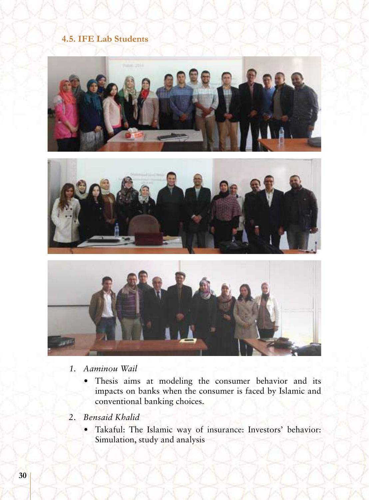#### **4.5. IFE Lab Students**

<span id="page-41-0"></span>

*1. Aaminou Wail*

- • Thesis aims at modeling the consumer behavior and its impacts on banks when the consumer is faced by Islamic and conventional banking choices.
- *2. Bensaid Khalid* 
	- • Takaful: The Islamic way of insurance: Investors' behavior: Simulation, study and analysis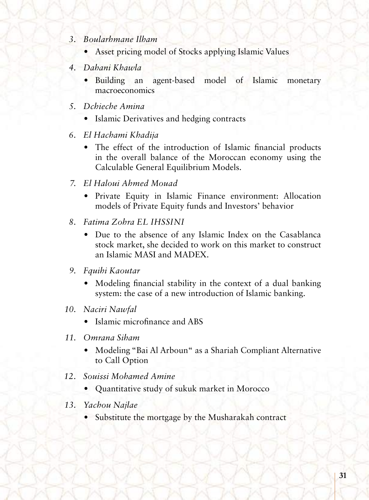- *3. Boularhmane Ilham*
	- Asset pricing model of Stocks applying Islamic Values
- *4. Dahani Khawla*
	- Building an agent-based model of Islamic monetary macroeconomics
- *5. Dchieche Amina*
	- Islamic Derivatives and hedging contracts
- *6. El Hachami Khadija*
	- The effect of the introduction of Islamic financial products in the overall balance of the Moroccan economy using the Calculable General Equilibrium Models.
- *7. El Haloui Ahmed Mouad*
	- • Private Equity in Islamic Finance environment: Allocation models of Private Equity funds and Investors' behavior
- *8. Fatima Zohra EL IHSSINI*
	- Due to the absence of any Islamic Index on the Casablanca stock market, she decided to work on this market to construct an Islamic MASI and MADEX.
- *9. Fquihi Kaoutar*
	- Modeling financial stability in the context of a dual banking system: the case of a new introduction of Islamic banking.
- *10. Naciri Nawfal*
	- • Islamic microfinance and ABS
- *11. Omrana Siham*
	- • Modeling "Bai Al Arboun" as a Shariah Compliant Alternative to Call Option
- *12. Souissi Mohamed Amine*
	- • Quantitative study of sukuk market in Morocco
- *13. Yachou Najlae*
	- Substitute the mortgage by the Musharakah contract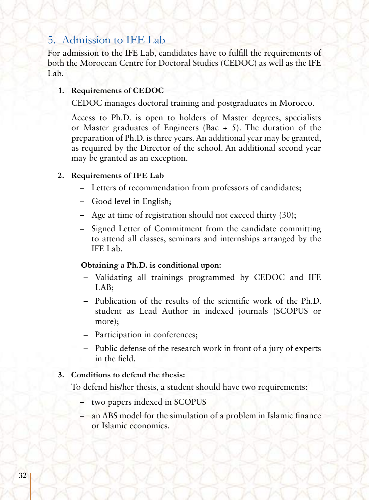# <span id="page-43-0"></span>5. Admission to IFE Lab

For admission to the IFE Lab, candidates have to fulfill the requirements of both the Moroccan Centre for Doctoral Studies (CEDOC) as well as the IFE Lab.

#### **1. Requirements of CEDOC**

CEDOC manages doctoral training and postgraduates in Morocco.

Access to Ph.D. is open to holders of Master degrees, specialists or Master graduates of Engineers (Bac + 5). The duration of the preparation of Ph.D. is three years. An additional year may be granted, as required by the Director of the school. An additional second year may be granted as an exception.

#### **2. Requirements of IFE Lab**

- **−** Letters of recommendation from professors of candidates;
- **−** Good level in English;
- **−** Age at time of registration should not exceed thirty (30);
- **−** Signed Letter of Commitment from the candidate committing to attend all classes, seminars and internships arranged by the IFE Lab.

#### **Obtaining a Ph.D. is conditional upon:**

- **−** Validating all trainings programmed by CEDOC and IFE LAB;
- **−** Publication of the results of the scientific work of the Ph.D. student as Lead Author in indexed journals (SCOPUS or more);
- **−** Participation in conferences;
- **−** Public defense of the research work in front of a jury of experts in the field.

#### **3. Conditions to defend the thesis:**

To defend his/her thesis, a student should have two requirements:

- **−** two papers indexed in SCOPUS
- **−** an ABS model for the simulation of a problem in Islamic finance or Islamic economics.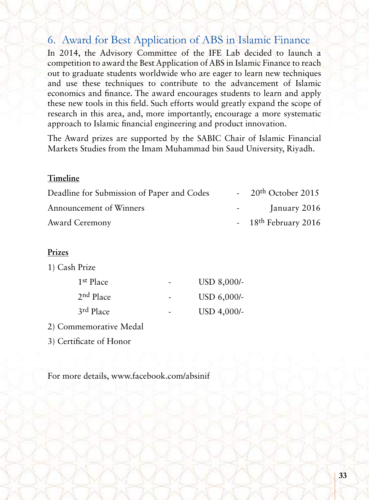# <span id="page-44-0"></span>6. Award for Best Application of ABS in Islamic Finance

In 2014, the Advisory Committee of the IFE Lab decided to launch a competition to award the Best Application of ABS in Islamic Finance to reach out to graduate students worldwide who are eager to learn new techniques and use these techniques to contribute to the advancement of Islamic economics and finance. The award encourages students to learn and apply these new tools in this field. Such efforts would greatly expand the scope of research in this area, and, more importantly, encourage a more systematic approach to Islamic financial engineering and product innovation.

The Award prizes are supported by the SABIC Chair of Islamic Financial Markets Studies from the Imam Muhammad bin Saud University, Riyadh.

#### **Timeline**

| Deadline for Submission of Paper and Codes |                              | $-20$ <sup>th</sup> October 2015  |
|--------------------------------------------|------------------------------|-----------------------------------|
| Announcement of Winners                    | $\sim$ 100 $\sim$ 100 $\sim$ | January 2016                      |
| Award Ceremony                             |                              | $-18$ <sup>th</sup> February 2016 |

#### **Prizes**

1) Cash Prize

| 1 <sup>st</sup> Place | -                        | USD 8,000/-   |
|-----------------------|--------------------------|---------------|
| $2nd$ Place           | $\overline{\phantom{0}}$ | $USD 6,000/-$ |
| 3 <sup>rd</sup> Place | $\overline{\phantom{0}}$ | USD 4,000/-   |

2) Commemorative Medal

3) Certificate of Honor

For more details, [www.facebook.com/absinif](www.facebook.com/absinif )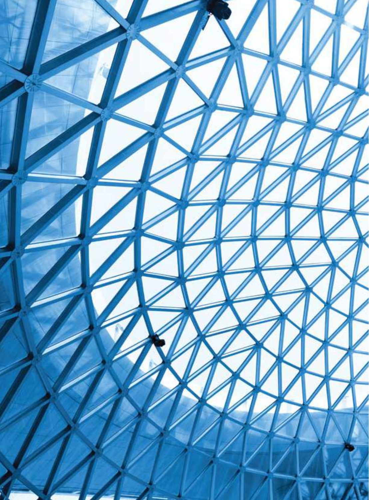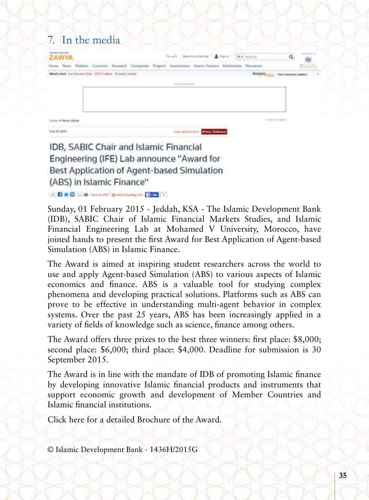# <span id="page-46-0"></span>7. In the media

| ZAWYA                                                                                          | Szulz : Sepneatherner.) Libert<br>a |                     |
|------------------------------------------------------------------------------------------------|-------------------------------------|---------------------|
| Home News Markets Countries Research Companies Projects Investments Islamic Finance Multimedia | Пелоцисет                           | <b>Printed Mars</b> |
| What's Helt, translation Dick, 2015 Dallace, Property Insider                                  | <b>Bushess</b>                      |                     |
|                                                                                                | 70 H H H S F<br>CHARLES COMPANY     |                     |
|                                                                                                |                                     |                     |
|                                                                                                |                                     |                     |
|                                                                                                |                                     |                     |
|                                                                                                |                                     |                     |
| Huma + Block Artists                                                                           |                                     |                     |
|                                                                                                | mer alges for Tress Release         |                     |

IDB, SABIC Chair and Islamic Financial Engineering (IFE) Lab announce "Award for Best Application of Agent-based Simulation (ABS) in Islamic Finance"

(4) 17 in 13 in the artic gastronate in Fig. 4

Sunday, 01 February 2015 - Jeddah, KSA - The Islamic Development Bank (IDB), SABIC Chair of Islamic Financial Markets Studies, and Islamic Financial Engineering Lab at Mohamed V University, Morocco, have joined hands to present the first Award for Best Application of Agent-based Simulation (ABS) in Islamic Finance.

The Award is aimed at inspiring student researchers across the world to use and apply Agent-based Simulation (ABS) to various aspects of Islamic economics and finance. ABS is a valuable tool for studying complex phenomena and developing practical solutions. Platforms such as ABS can prove to be effective in understanding multi-agent behavior in complex systems. Over the past 25 years, ABS has been increasingly applied in a variety of fields of knowledge such as science, finance among others.

The Award offers three prizes to the best three winners: first place: \$8,000; second place: \$6,000; third place: \$4,000. Deadline for submission is 30 September 2015.

The Award is in line with the mandate of IDB of promoting Islamic finance by developing innovative Islamic financial products and instruments that support economic growth and development of Member Countries and Islamic financial institutions.

Click here for a detailed Brochure of the Award.

© Islamic Development Bank - 1436H/2015G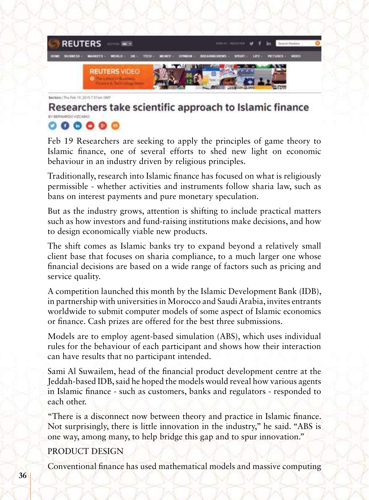

Sections / This Fan 16, 2015 T 47am (Mit)

#### Researchers take scientific approach to Islamic finance BY REBINARDO VOCABIO

# $0 0 0 0 0$

Feb 19 Researchers are seeking to apply the principles of game theory to Islamic finance, one of several efforts to shed new light on economic behaviour in an industry driven by religious principles.

Traditionally, research into Islamic finance has focused on what is religiously permissible - whether activities and instruments follow sharia law, such as bans on interest payments and pure monetary speculation.

But as the industry grows, attention is shifting to include practical matters such as how investors and fund-raising institutions make decisions, and how to design economically viable new products.

The shift comes as Islamic banks try to expand beyond a relatively small client base that focuses on sharia compliance, to a much larger one whose financial decisions are based on a wide range of factors such as pricing and service quality.

A competition launched this month by the Islamic Development Bank (IDB), in partnership with universities in Morocco and Saudi Arabia, invites entrants worldwide to submit computer models of some aspect of Islamic economics or finance. Cash prizes are offered for the best three submissions.

Models are to employ agent-based simulation (ABS), which uses individual rules for the behaviour of each participant and shows how their interaction can have results that no participant intended.

Sami Al Suwailem, head of the financial product development centre at the Jeddah-based IDB, said he hoped the models would reveal how various agents in Islamic finance - such as customers, banks and regulators - responded to each other.

"There is a disconnect now between theory and practice in Islamic finance. Not surprisingly, there is little innovation in the industry," he said. "ABS is one way, among many, to help bridge this gap and to spur innovation."

#### PRODUCT DESIGN

Conventional finance has used mathematical models and massive computing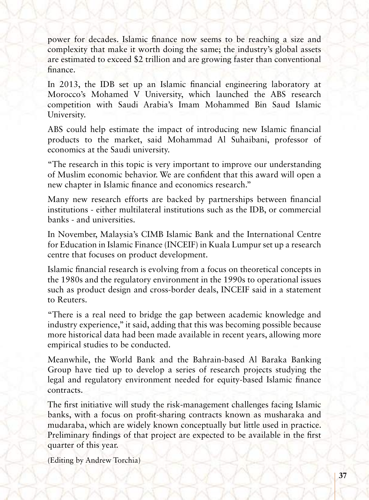power for decades. Islamic finance now seems to be reaching a size and complexity that make it worth doing the same; the industry's global assets are estimated to exceed \$2 trillion and are growing faster than conventional finance.

In 2013, the IDB set up an Islamic financial engineering laboratory at Morocco's Mohamed V University, which launched the ABS research competition with Saudi Arabia's Imam Mohammed Bin Saud Islamic University.

ABS could help estimate the impact of introducing new Islamic financial products to the market, said Mohammad Al Suhaibani, professor of economics at the Saudi university.

"The research in this topic is very important to improve our understanding of Muslim economic behavior. We are confident that this award will open a new chapter in Islamic finance and economics research."

Many new research efforts are backed by partnerships between financial institutions - either multilateral institutions such as the IDB, or commercial banks - and universities.

In November, Malaysia's CIMB Islamic Bank and the International Centre for Education in Islamic Finance (INCEIF) in Kuala Lumpur set up a research centre that focuses on product development.

Islamic financial research is evolving from a focus on theoretical concepts in the 1980s and the regulatory environment in the 1990s to operational issues such as product design and cross-border deals, INCEIF said in a statement to Reuters.

"There is a real need to bridge the gap between academic knowledge and industry experience," it said, adding that this was becoming possible because more historical data had been made available in recent years, allowing more empirical studies to be conducted.

Meanwhile, the World Bank and the Bahrain-based Al Baraka Banking Group have tied up to develop a series of research projects studying the legal and regulatory environment needed for equity-based Islamic finance contracts.

The first initiative will study the risk-management challenges facing Islamic banks, with a focus on profit-sharing contracts known as musharaka and mudaraba, which are widely known conceptually but little used in practice. Preliminary findings of that project are expected to be available in the first quarter of this year.

(Editing by Andrew Torchia)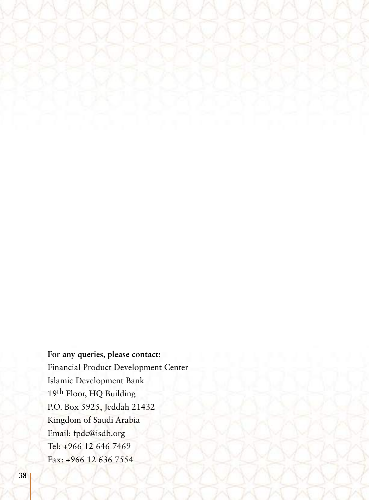**For any queries, please contact:** Financial Product Development Center Islamic Development Bank 19th Floor, HQ Building P.O. Box 5925, Jeddah 21432 Kingdom of Saudi Arabia Email: fpdc@isdb.org Tel: +966 12 646 7469 Fax: +966 12 636 7554